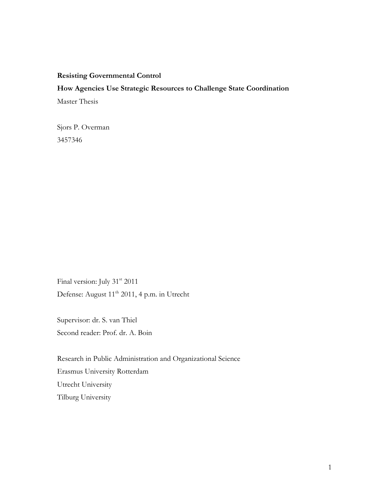## **Resisting Governmental Control**

# **How Agencies Use Strategic Resources to Challenge State Coordination**

Master Thesis

Sjors P. Overman 3457346

Final version: July 31<sup>st</sup> 2011 Defense: August 11<sup>th</sup> 2011, 4 p.m. in Utrecht

Supervisor: dr. S. van Thiel Second reader: Prof. dr. A. Boin

Research in Public Administration and Organizational Science Erasmus University Rotterdam Utrecht University Tilburg University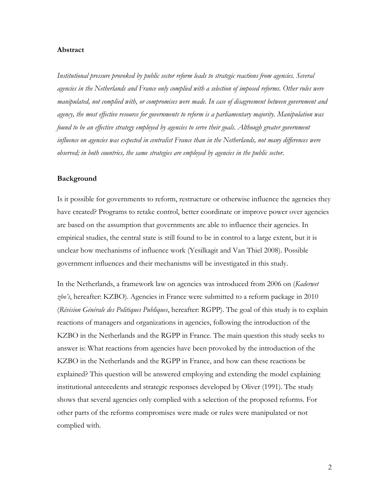### **Abstract**

*Institutional pressure provoked by public sector reform leads to strategic reactions from agencies. Several agencies in the Netherlands and France only complied with a selection of imposed reforms. Other rules were manipulated, not complied with, or compromises were made. In case of disagreement between government and agency, the most effective resource for governments to reform is a parliamentary majority. Manipulation was found to be an effective strategy employed by agencies to serve their goals. Although greater government influence on agencies was expected in centralist France than in the Netherlands, not many differences were observed; in both countries, the same strategies are employed by agencies in the public sector.*

### **Background**

Is it possible for governments to reform, restructure or otherwise influence the agencies they have created? Programs to retake control, better coordinate or improve power over agencies are based on the assumption that governments are able to influence their agencies. In empirical studies, the central state is still found to be in control to a large extent, but it is unclear how mechanisms of influence work (Yesilkagit and Van Thiel 2008). Possible government influences and their mechanisms will be investigated in this study.

In the Netherlands, a framework law on agencies was introduced from 2006 on (*Kaderwet zbo's*, hereafter: KZBO). Agencies in France were submitted to a reform package in 2010 (*Révision Générale des Politiques Publiques*, hereafter: RGPP). The goal of this study is to explain reactions of managers and organizations in agencies, following the introduction of the KZBO in the Netherlands and the RGPP in France. The main question this study seeks to answer is: What reactions from agencies have been provoked by the introduction of the KZBO in the Netherlands and the RGPP in France, and how can these reactions be explained? This question will be answered employing and extending the model explaining institutional antecedents and strategic responses developed by Oliver (1991). The study shows that several agencies only complied with a selection of the proposed reforms. For other parts of the reforms compromises were made or rules were manipulated or not complied with.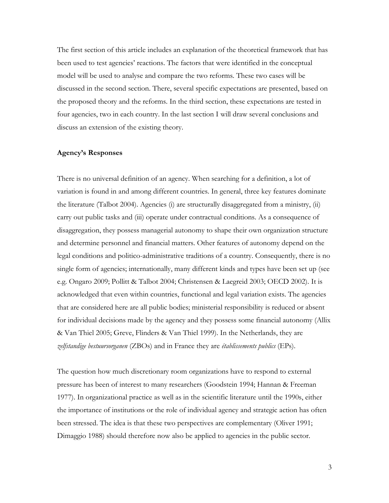The first section of this article includes an explanation of the theoretical framework that has been used to test agencies' reactions. The factors that were identified in the conceptual model will be used to analyse and compare the two reforms. These two cases will be discussed in the second section. There, several specific expectations are presented, based on the proposed theory and the reforms. In the third section, these expectations are tested in four agencies, two in each country. In the last section I will draw several conclusions and discuss an extension of the existing theory.

### **Agency's Responses**

There is no universal definition of an agency. When searching for a definition, a lot of variation is found in and among different countries. In general, three key features dominate the literature (Talbot 2004). Agencies (i) are structurally disaggregated from a ministry, (ii) carry out public tasks and (iii) operate under contractual conditions. As a consequence of disaggregation, they possess managerial autonomy to shape their own organization structure and determine personnel and financial matters. Other features of autonomy depend on the legal conditions and politico-administrative traditions of a country. Consequently, there is no single form of agencies; internationally, many different kinds and types have been set up (see e.g. Ongaro 2009; Pollitt & Talbot 2004; Christensen & Laegreid 2003; OECD 2002). It is acknowledged that even within countries, functional and legal variation exists. The agencies that are considered here are all public bodies; ministerial responsibility is reduced or absent for individual decisions made by the agency and they possess some financial autonomy (Allix & Van Thiel 2005; Greve, Flinders & Van Thiel 1999). In the Netherlands, they are *zelfstandige bestuursorganen* (ZBOs) and in France they are *établissements publics* (EPs).

The question how much discretionary room organizations have to respond to external pressure has been of interest to many researchers (Goodstein 1994; Hannan & Freeman 1977). In organizational practice as well as in the scientific literature until the 1990s, either the importance of institutions or the role of individual agency and strategic action has often been stressed. The idea is that these two perspectives are complementary (Oliver 1991; Dimaggio 1988) should therefore now also be applied to agencies in the public sector.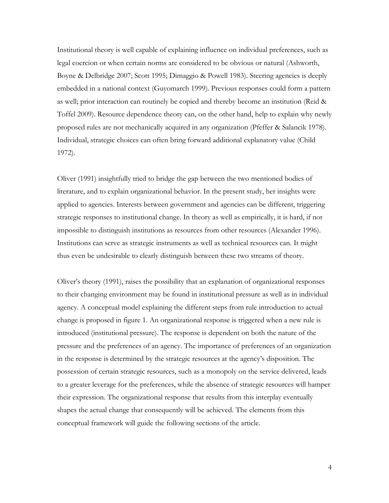Institutional theory is well capable of explaining influence on individual preferences, such as legal coercion or when certain norms are considered to be obvious or natural (Ashworth, Boyne & Delbridge 2007; Scott 1995; Dimaggio & Powell 1983). Steering agencies is deeply embedded in a national context (Guyomarch 1999). Previous responses could form a pattern as well; prior interaction can routinely be copied and thereby become an institution (Reid & Toffel 2009). Resource dependence theory can, on the other hand, help to explain why newly proposed rules are not mechanically acquired in any organization (Pfeffer & Salancik 1978). Individual, strategic choices can often bring forward additional explanatory value (Child 1972).

Oliver (1991) insightfully tried to bridge the gap between the two mentioned bodies of literature, and to explain organizational behavior. In the present study, her insights were applied to agencies. Interests between government and agencies can be different, triggering strategic responses to institutional change. In theory as well as empirically, it is hard, if not impossible to distinguish institutions as resources from other resources (Alexander 1996). Institutions can serve as strategic instruments as well as technical resources can. It might thus even be undesirable to clearly distinguish between these two streams of theory.

Oliver's theory (1991), raises the possibility that an explanation of organizational responses to their changing environment may be found in institutional pressure as well as in individual agency. A conceptual model explaining the different steps from rule introduction to actual change is proposed in figure 1. An organizational response is triggered when a new rule is introduced (institutional pressure). The response is dependent on both the nature of the pressure and the preferences of an agency. The importance of preferences of an organization in the response is determined by the strategic resources at the agency's disposition. The possession of certain strategic resources, such as a monopoly on the service delivered, leads to a greater leverage for the preferences, while the absence of strategic resources will hamper their expression. The organizational response that results from this interplay eventually shapes the actual change that consequently will be achieved. The elements from this conceptual framework will guide the following sections of the article.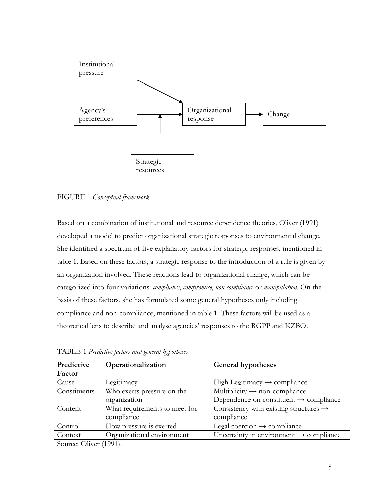

FIGURE 1 *Conceptual framework*

Based on a combination of institutional and resource dependence theories, Oliver (1991) developed a model to predict organizational strategic responses to environmental change. She identified a spectrum of five explanatory factors for strategic responses, mentioned in table 1. Based on these factors, a strategic response to the introduction of a rule is given by an organization involved. These reactions lead to organizational change, which can be categorized into four variations: *compliance*, *compromise*, *non-compliance* or *manipulation*. On the basis of these factors, she has formulated some general hypotheses only including compliance and non-compliance, mentioned in table 1. These factors will be used as a theoretical lens to describe and analyse agencies' responses to the RGPP and KZBO.

| Predictive   | Operationalization            | <b>General hypotheses</b>                           |
|--------------|-------------------------------|-----------------------------------------------------|
| Factor       |                               |                                                     |
| Cause        | Legitimacy                    | High Legitimacy $\rightarrow$ compliance            |
| Constituents | Who exerts pressure on the    | Multiplicity $\rightarrow$ non-compliance           |
|              | organization                  | Dependence on constituent $\rightarrow$ compliance  |
| Content      | What requirements to meet for | Consistency with existing structures $\rightarrow$  |
|              | compliance                    | compliance                                          |
| Control      | How pressure is exerted       | Legal coercion $\rightarrow$ compliance             |
| Context      | Organizational environment    | Uncertainty in environment $\rightarrow$ compliance |

TABLE 1 *Predictive factors and general hypotheses*

Source: Oliver (1991).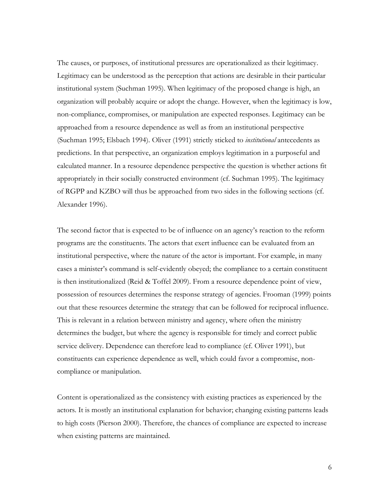The causes, or purposes, of institutional pressures are operationalized as their legitimacy. Legitimacy can be understood as the perception that actions are desirable in their particular institutional system (Suchman 1995). When legitimacy of the proposed change is high, an organization will probably acquire or adopt the change. However, when the legitimacy is low, non-compliance, compromises, or manipulation are expected responses. Legitimacy can be approached from a resource dependence as well as from an institutional perspective (Suchman 1995; Elsbach 1994). Oliver (1991) strictly sticked to *institutional* antecedents as predictions. In that perspective, an organization employs legitimation in a purposeful and calculated manner. In a resource dependence perspective the question is whether actions fit appropriately in their socially constructed environment (cf. Suchman 1995). The legitimacy of RGPP and KZBO will thus be approached from two sides in the following sections (cf. Alexander 1996).

The second factor that is expected to be of influence on an agency's reaction to the reform programs are the constituents. The actors that exert influence can be evaluated from an institutional perspective, where the nature of the actor is important. For example, in many cases a minister's command is self-evidently obeyed; the compliance to a certain constituent is then institutionalized (Reid & Toffel 2009). From a resource dependence point of view, possession of resources determines the response strategy of agencies. Frooman (1999) points out that these resources determine the strategy that can be followed for reciprocal influence. This is relevant in a relation between ministry and agency, where often the ministry determines the budget, but where the agency is responsible for timely and correct public service delivery. Dependence can therefore lead to compliance (cf. Oliver 1991), but constituents can experience dependence as well, which could favor a compromise, noncompliance or manipulation.

Content is operationalized as the consistency with existing practices as experienced by the actors. It is mostly an institutional explanation for behavior; changing existing patterns leads to high costs (Pierson 2000). Therefore, the chances of compliance are expected to increase when existing patterns are maintained.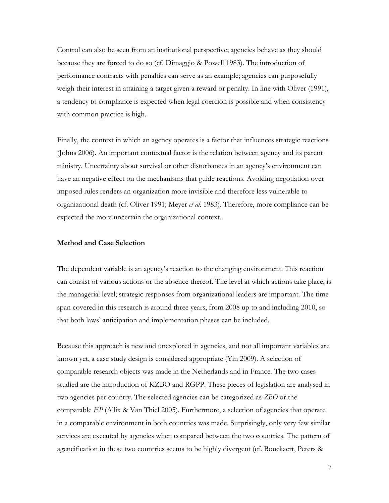Control can also be seen from an institutional perspective; agencies behave as they should because they are forced to do so (cf. Dimaggio & Powell 1983). The introduction of performance contracts with penalties can serve as an example; agencies can purposefully weigh their interest in attaining a target given a reward or penalty. In line with Oliver (1991), a tendency to compliance is expected when legal coercion is possible and when consistency with common practice is high.

Finally, the context in which an agency operates is a factor that influences strategic reactions (Johns 2006). An important contextual factor is the relation between agency and its parent ministry. Uncertainty about survival or other disturbances in an agency's environment can have an negative effect on the mechanisms that guide reactions. Avoiding negotiation over imposed rules renders an organization more invisible and therefore less vulnerable to organizational death (cf. Oliver 1991; Meyer *et al*. 1983). Therefore, more compliance can be expected the more uncertain the organizational context.

### **Method and Case Selection**

The dependent variable is an agency's reaction to the changing environment. This reaction can consist of various actions or the absence thereof. The level at which actions take place, is the managerial level; strategic responses from organizational leaders are important. The time span covered in this research is around three years, from 2008 up to and including 2010, so that both laws' anticipation and implementation phases can be included.

Because this approach is new and unexplored in agencies, and not all important variables are known yet, a case study design is considered appropriate (Yin 2009). A selection of comparable research objects was made in the Netherlands and in France. The two cases studied are the introduction of KZBO and RGPP. These pieces of legislation are analysed in two agencies per country. The selected agencies can be categorized as *ZBO* or the comparable *EP* (Allix & Van Thiel 2005). Furthermore, a selection of agencies that operate in a comparable environment in both countries was made. Surprisingly, only very few similar services are executed by agencies when compared between the two countries. The pattern of agencification in these two countries seems to be highly divergent (cf. Bouckaert, Peters &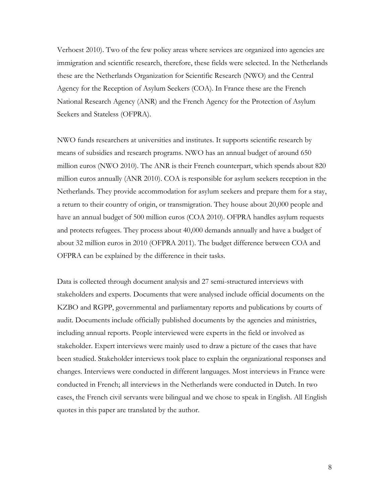Verhoest 2010). Two of the few policy areas where services are organized into agencies are immigration and scientific research, therefore, these fields were selected. In the Netherlands these are the Netherlands Organization for Scientific Research (NWO) and the Central Agency for the Reception of Asylum Seekers (COA). In France these are the French National Research Agency (ANR) and the French Agency for the Protection of Asylum Seekers and Stateless (OFPRA).

NWO funds researchers at universities and institutes. It supports scientific research by means of subsidies and research programs. NWO has an annual budget of around 650 million euros (NWO 2010). The ANR is their French counterpart, which spends about 820 million euros annually (ANR 2010). COA is responsible for asylum seekers reception in the Netherlands. They provide accommodation for asylum seekers and prepare them for a stay, a return to their country of origin, or transmigration. They house about 20,000 people and have an annual budget of 500 million euros (COA 2010). OFPRA handles asylum requests and protects refugees. They process about 40,000 demands annually and have a budget of about 32 million euros in 2010 (OFPRA 2011). The budget difference between COA and OFPRA can be explained by the difference in their tasks.

Data is collected through document analysis and 27 semi-structured interviews with stakeholders and experts. Documents that were analysed include official documents on the KZBO and RGPP, governmental and parliamentary reports and publications by courts of audit. Documents include officially published documents by the agencies and ministries, including annual reports. People interviewed were experts in the field or involved as stakeholder. Expert interviews were mainly used to draw a picture of the cases that have been studied. Stakeholder interviews took place to explain the organizational responses and changes. Interviews were conducted in different languages. Most interviews in France were conducted in French; all interviews in the Netherlands were conducted in Dutch. In two cases, the French civil servants were bilingual and we chose to speak in English. All English quotes in this paper are translated by the author.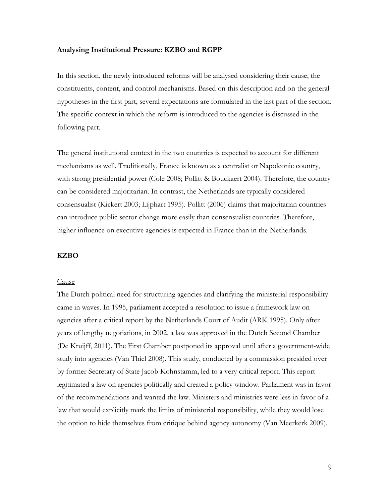#### **Analysing Institutional Pressure: KZBO and RGPP**

In this section, the newly introduced reforms will be analysed considering their cause, the constituents, content, and control mechanisms. Based on this description and on the general hypotheses in the first part, several expectations are formulated in the last part of the section. The specific context in which the reform is introduced to the agencies is discussed in the following part.

The general institutional context in the two countries is expected to account for different mechanisms as well. Traditionally, France is known as a centralist or Napoleonic country, with strong presidential power (Cole 2008; Pollitt & Bouckaert 2004). Therefore, the country can be considered majoritarian. In contrast, the Netherlands are typically considered consensualist (Kickert 2003; Lijphart 1995). Pollitt (2006) claims that majoritarian countries can introduce public sector change more easily than consensualist countries. Therefore, higher influence on executive agencies is expected in France than in the Netherlands.

## **KZBO**

#### Cause

The Dutch political need for structuring agencies and clarifying the ministerial responsibility came in waves. In 1995, parliament accepted a resolution to issue a framework law on agencies after a critical report by the Netherlands Court of Audit (ARK 1995). Only after years of lengthy negotiations, in 2002, a law was approved in the Dutch Second Chamber (De Kruijff, 2011). The First Chamber postponed its approval until after a government-wide study into agencies (Van Thiel 2008). This study, conducted by a commission presided over by former Secretary of State Jacob Kohnstamm, led to a very critical report. This report legitimated a law on agencies politically and created a policy window. Parliament was in favor of the recommendations and wanted the law. Ministers and ministries were less in favor of a law that would explicitly mark the limits of ministerial responsibility, while they would lose the option to hide themselves from critique behind agency autonomy (Van Meerkerk 2009).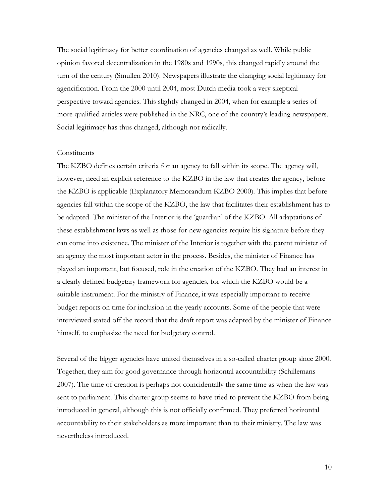The social legitimacy for better coordination of agencies changed as well. While public opinion favored decentralization in the 1980s and 1990s, this changed rapidly around the turn of the century (Smullen 2010). Newspapers illustrate the changing social legitimacy for agencification. From the 2000 until 2004, most Dutch media took a very skeptical perspective toward agencies. This slightly changed in 2004, when for example a series of more qualified articles were published in the NRC, one of the country's leading newspapers. Social legitimacy has thus changed, although not radically.

### **Constituents**

The KZBO defines certain criteria for an agency to fall within its scope. The agency will, however, need an explicit reference to the KZBO in the law that creates the agency, before the KZBO is applicable (Explanatory Memorandum KZBO 2000). This implies that before agencies fall within the scope of the KZBO, the law that facilitates their establishment has to be adapted. The minister of the Interior is the 'guardian' of the KZBO. All adaptations of these establishment laws as well as those for new agencies require his signature before they can come into existence. The minister of the Interior is together with the parent minister of an agency the most important actor in the process. Besides, the minister of Finance has played an important, but focused, role in the creation of the KZBO. They had an interest in a clearly defined budgetary framework for agencies, for which the KZBO would be a suitable instrument. For the ministry of Finance, it was especially important to receive budget reports on time for inclusion in the yearly accounts. Some of the people that were interviewed stated off the record that the draft report was adapted by the minister of Finance himself, to emphasize the need for budgetary control.

Several of the bigger agencies have united themselves in a so-called charter group since 2000. Together, they aim for good governance through horizontal accountability (Schillemans 2007). The time of creation is perhaps not coincidentally the same time as when the law was sent to parliament. This charter group seems to have tried to prevent the KZBO from being introduced in general, although this is not officially confirmed. They preferred horizontal accountability to their stakeholders as more important than to their ministry. The law was nevertheless introduced.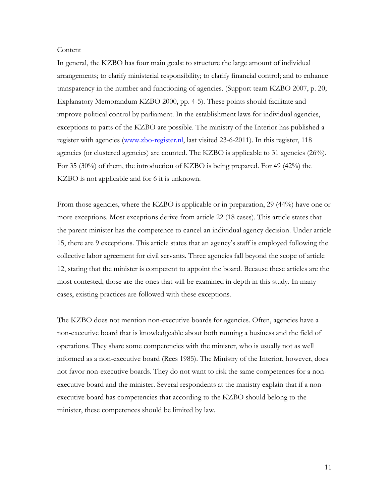## Content

In general, the KZBO has four main goals: to structure the large amount of individual arrangements; to clarify ministerial responsibility; to clarify financial control; and to enhance transparency in the number and functioning of agencies. (Support team KZBO 2007, p. 20; Explanatory Memorandum KZBO 2000, pp. 4-5). These points should facilitate and improve political control by parliament. In the establishment laws for individual agencies, exceptions to parts of the KZBO are possible. The ministry of the Interior has published a register with agencies [\(www.zbo-register.nl,](http://www.zbo-register.nl/) last visited 23-6-2011). In this register, 118 agencies (or clustered agencies) are counted. The KZBO is applicable to 31 agencies (26%). For 35 (30%) of them, the introduction of KZBO is being prepared. For 49 (42%) the KZBO is not applicable and for 6 it is unknown.

From those agencies, where the KZBO is applicable or in preparation, 29 (44%) have one or more exceptions. Most exceptions derive from article 22 (18 cases). This article states that the parent minister has the competence to cancel an individual agency decision. Under article 15, there are 9 exceptions. This article states that an agency's staff is employed following the collective labor agreement for civil servants. Three agencies fall beyond the scope of article 12, stating that the minister is competent to appoint the board. Because these articles are the most contested, those are the ones that will be examined in depth in this study. In many cases, existing practices are followed with these exceptions.

The KZBO does not mention non-executive boards for agencies. Often, agencies have a non-executive board that is knowledgeable about both running a business and the field of operations. They share some competencies with the minister, who is usually not as well informed as a non-executive board (Rees 1985). The Ministry of the Interior, however, does not favor non-executive boards. They do not want to risk the same competences for a nonexecutive board and the minister. Several respondents at the ministry explain that if a nonexecutive board has competencies that according to the KZBO should belong to the minister, these competences should be limited by law.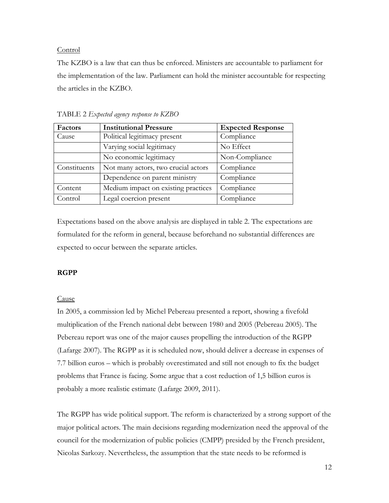# Control

The KZBO is a law that can thus be enforced. Ministers are accountable to parliament for the implementation of the law. Parliament can hold the minister accountable for respecting the articles in the KZBO.

| Factors      | <b>Institutional Pressure</b>       | <b>Expected Response</b> |
|--------------|-------------------------------------|--------------------------|
| Cause        | Political legitimacy present        | Compliance               |
|              | Varying social legitimacy           | No Effect                |
|              | No economic legitimacy              | Non-Compliance           |
| Constituents | Not many actors, two crucial actors | Compliance               |
|              | Dependence on parent ministry       | Compliance               |
| Content      | Medium impact on existing practices | Compliance               |
| Control      | Legal coercion present              | Compliance               |

TABLE 2 *Expected agency response to KZBO*

Expectations based on the above analysis are displayed in table 2. The expectations are formulated for the reform in general, because beforehand no substantial differences are expected to occur between the separate articles.

# **RGPP**

### Cause

In 2005, a commission led by Michel Pebereau presented a report, showing a fivefold multiplication of the French national debt between 1980 and 2005 (Pebereau 2005). The Pebereau report was one of the major causes propelling the introduction of the RGPP (Lafarge 2007). The RGPP as it is scheduled now, should deliver a decrease in expenses of 7.7 billion euros – which is probably overestimated and still not enough to fix the budget problems that France is facing. Some argue that a cost reduction of 1,5 billion euros is probably a more realistic estimate (Lafarge 2009, 2011).

The RGPP has wide political support. The reform is characterized by a strong support of the major political actors. The main decisions regarding modernization need the approval of the council for the modernization of public policies (CMPP) presided by the French president, Nicolas Sarkozy. Nevertheless, the assumption that the state needs to be reformed is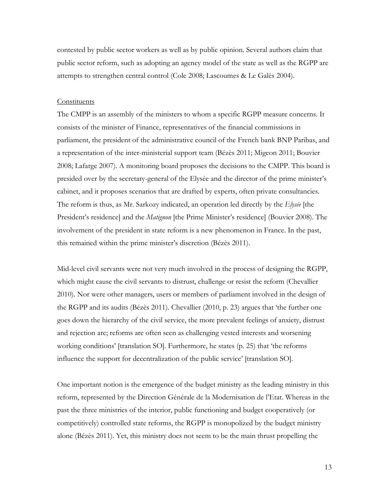contested by public sector workers as well as by public opinion. Several authors claim that public sector reform, such as adopting an agency model of the state as well as the RGPP are attempts to strengthen central control (Cole 2008; Lascoumes & Le Galès 2004).

# **Constituents**

The CMPP is an assembly of the ministers to whom a specific RGPP measure concerns. It consists of the minister of Finance, representatives of the financial commissions in parliament, the president of the administrative council of the French bank BNP Paribas, and a representation of the inter-ministerial support team (Bézès 2011; Migeon 2011; Bouvier 2008; Lafarge 2007). A monitoring board proposes the decisions to the CMPP. This board is presided over by the secretary-general of the Elysée and the director of the prime minister's cabinet, and it proposes scenarios that are drafted by experts, often private consultancies. The reform is thus, as Mr. Sarkozy indicated, an operation led directly by the *Elysée* [the President's residence] and the *Matignon* [the Prime Minister's residence] (Bouvier 2008). The involvement of the president in state reform is a new phenomenon in France. In the past, this remained within the prime minister's discretion (Bézès 2011).

Mid-level civil servants were not very much involved in the process of designing the RGPP, which might cause the civil servants to distrust, challenge or resist the reform (Chevallier 2010). Nor were other managers, users or members of parliament involved in the design of the RGPP and its audits (Bézès 2011). Chevallier (2010, p. 23) argues that ‗the further one goes down the hierarchy of the civil service, the more prevalent feelings of anxiety, distrust and rejection are; reforms are often seen as challenging vested interests and worsening working conditions' [translation SO]. Furthermore, he states (p. 25) that 'the reforms influence the support for decentralization of the public service' [translation SO].

One important notion is the emergence of the budget ministry as the leading ministry in this reform, represented by the Direction Générale de la Modernisation de l'Etat. Whereas in the past the three ministries of the interior, public functioning and budget cooperatively (or competitively) controlled state reforms, the RGPP is monopolized by the budget ministry alone (Bézès 2011). Yet, this ministry does not seem to be the main thrust propelling the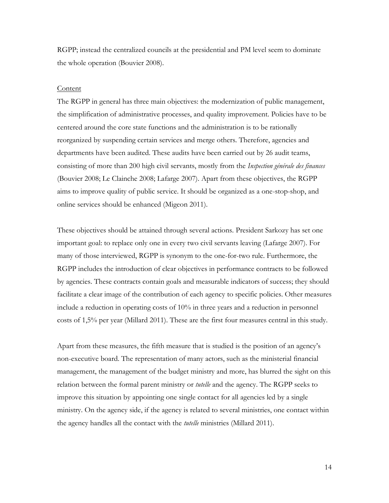RGPP; instead the centralized councils at the presidential and PM level seem to dominate the whole operation (Bouvier 2008).

### Content

The RGPP in general has three main objectives: the modernization of public management, the simplification of administrative processes, and quality improvement. Policies have to be centered around the core state functions and the administration is to be rationally reorganized by suspending certain services and merge others. Therefore, agencies and departments have been audited. These audits have been carried out by 26 audit teams, consisting of more than 200 high civil servants, mostly from the *Inspection générale des finances* (Bouvier 2008; Le Clainche 2008; Lafarge 2007). Apart from these objectives, the RGPP aims to improve quality of public service. It should be organized as a one-stop-shop, and online services should be enhanced (Migeon 2011).

These objectives should be attained through several actions. President Sarkozy has set one important goal: to replace only one in every two civil servants leaving (Lafarge 2007). For many of those interviewed, RGPP is synonym to the one-for-two rule. Furthermore, the RGPP includes the introduction of clear objectives in performance contracts to be followed by agencies. These contracts contain goals and measurable indicators of success; they should facilitate a clear image of the contribution of each agency to specific policies. Other measures include a reduction in operating costs of 10% in three years and a reduction in personnel costs of 1,5% per year (Millard 2011). These are the first four measures central in this study.

Apart from these measures, the fifth measure that is studied is the position of an agency's non-executive board. The representation of many actors, such as the ministerial financial management, the management of the budget ministry and more, has blurred the sight on this relation between the formal parent ministry or *tutelle* and the agency. The RGPP seeks to improve this situation by appointing one single contact for all agencies led by a single ministry. On the agency side, if the agency is related to several ministries, one contact within the agency handles all the contact with the *tutelle* ministries (Millard 2011).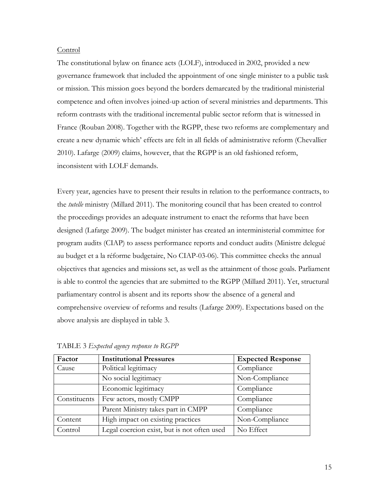## Control

The constitutional bylaw on finance acts (LOLF), introduced in 2002, provided a new governance framework that included the appointment of one single minister to a public task or mission. This mission goes beyond the borders demarcated by the traditional ministerial competence and often involves joined-up action of several ministries and departments. This reform contrasts with the traditional incremental public sector reform that is witnessed in France (Rouban 2008). Together with the RGPP, these two reforms are complementary and create a new dynamic which' effects are felt in all fields of administrative reform (Chevallier 2010). Lafarge (2009) claims, however, that the RGPP is an old fashioned reform, inconsistent with LOLF demands.

Every year, agencies have to present their results in relation to the performance contracts, to the *tutelle* ministry (Millard 2011). The monitoring council that has been created to control the proceedings provides an adequate instrument to enact the reforms that have been designed (Lafarge 2009). The budget minister has created an interministerial committee for program audits (CIAP) to assess performance reports and conduct audits (Ministre delegué au budget et a la réforme budgetaire, No CIAP-03-06). This committee checks the annual objectives that agencies and missions set, as well as the attainment of those goals. Parliament is able to control the agencies that are submitted to the RGPP (Millard 2011). Yet, structural parliamentary control is absent and its reports show the absence of a general and comprehensive overview of reforms and results (Lafarge 2009). Expectations based on the above analysis are displayed in table 3.

| Factor       | <b>Institutional Pressures</b>              | <b>Expected Response</b> |
|--------------|---------------------------------------------|--------------------------|
| Cause        | Political legitimacy                        | Compliance               |
|              | No social legitimacy                        | Non-Compliance           |
|              | Economic legitimacy                         | Compliance               |
| Constituents | Few actors, mostly CMPP                     | Compliance               |
|              | Parent Ministry takes part in CMPP          | Compliance               |
| Content      | High impact on existing practices           | Non-Compliance           |
| Control      | Legal coercion exist, but is not often used | No Effect                |

TABLE 3 *Expected agency response to RGPP*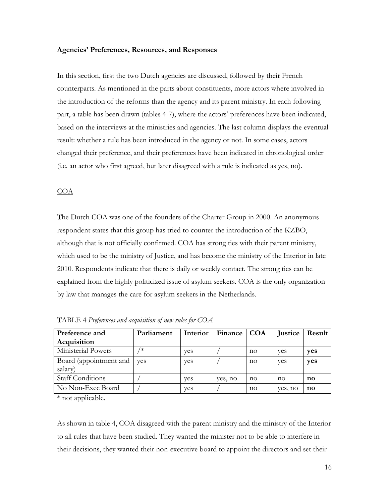### **Agencies' Preferences, Resources, and Responses**

In this section, first the two Dutch agencies are discussed, followed by their French counterparts. As mentioned in the parts about constituents, more actors where involved in the introduction of the reforms than the agency and its parent ministry. In each following part, a table has been drawn (tables 4-7), where the actors' preferences have been indicated, based on the interviews at the ministries and agencies. The last column displays the eventual result: whether a rule has been introduced in the agency or not. In some cases, actors changed their preference, and their preferences have been indicated in chronological order (i.e. an actor who first agreed, but later disagreed with a rule is indicated as yes, no).

### COA

The Dutch COA was one of the founders of the Charter Group in 2000. An anonymous respondent states that this group has tried to counter the introduction of the KZBO, although that is not officially confirmed. COA has strong ties with their parent ministry, which used to be the ministry of Justice, and has become the ministry of the Interior in late 2010. Respondents indicate that there is daily or weekly contact. The strong ties can be explained from the highly politicized issue of asylum seekers. COA is the only organization by law that manages the care for asylum seekers in the Netherlands.

| Preference and               | Parliament | Interior | Finance   COA |                 | Justice | Result                 |
|------------------------------|------------|----------|---------------|-----------------|---------|------------------------|
| Acquisition                  |            |          |               |                 |         |                        |
| Ministerial Powers           | ิ∗         | ves      |               | $\overline{10}$ | ves     | ves                    |
| Board (appointment and   yes |            | yes      |               | $\overline{10}$ | yes     | yes                    |
| salary)                      |            |          |               |                 |         |                        |
| <b>Staff Conditions</b>      |            | ves      | yes, no       | no              | no      | no                     |
| No Non-Exec Board            |            | ves      |               | $\overline{10}$ | yes, no | $\mathbf{n}\mathbf{o}$ |

TABLE 4 *Preferences and acquisition of new rules for COA*

\* not applicable.

As shown in table 4, COA disagreed with the parent ministry and the ministry of the Interior to all rules that have been studied. They wanted the minister not to be able to interfere in their decisions, they wanted their non-executive board to appoint the directors and set their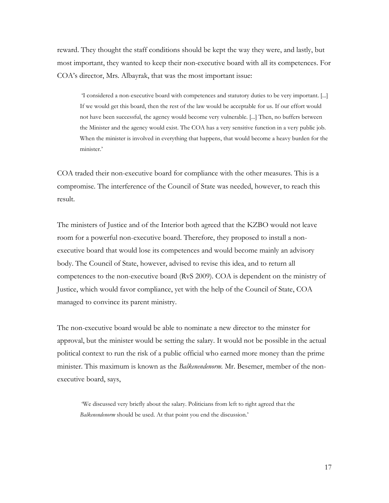reward. They thought the staff conditions should be kept the way they were, and lastly, but most important, they wanted to keep their non-executive board with all its competences. For COA's director, Mrs. Albayrak, that was the most important issue:

‗I considered a non-executive board with competences and statutory duties to be very important. [...] If we would get this board, then the rest of the law would be acceptable for us. If our effort would not have been successful, the agency would become very vulnerable. [...] Then, no buffers between the Minister and the agency would exist. The COA has a very sensitive function in a very public job. When the minister is involved in everything that happens, that would become a heavy burden for the minister.'

COA traded their non-executive board for compliance with the other measures. This is a compromise. The interference of the Council of State was needed, however, to reach this result.

The ministers of Justice and of the Interior both agreed that the KZBO would not leave room for a powerful non-executive board. Therefore, they proposed to install a nonexecutive board that would lose its competences and would become mainly an advisory body. The Council of State, however, advised to revise this idea, and to return all competences to the non-executive board (RvS 2009). COA is dependent on the ministry of Justice, which would favor compliance, yet with the help of the Council of State, COA managed to convince its parent ministry.

The non-executive board would be able to nominate a new director to the minster for approval, but the minister would be setting the salary. It would not be possible in the actual political context to run the risk of a public official who earned more money than the prime minister. This maximum is known as the *Balkenendenorm.* Mr. Besemer, member of the nonexecutive board, says,

‗We discussed very briefly about the salary. Politicians from left to right agreed that the *Balkenendenorm* should be used. At that point you end the discussion.'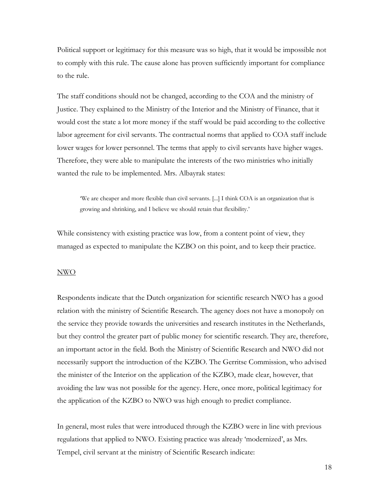Political support or legitimacy for this measure was so high, that it would be impossible not to comply with this rule. The cause alone has proven sufficiently important for compliance to the rule.

The staff conditions should not be changed, according to the COA and the ministry of Justice. They explained to the Ministry of the Interior and the Ministry of Finance, that it would cost the state a lot more money if the staff would be paid according to the collective labor agreement for civil servants. The contractual norms that applied to COA staff include lower wages for lower personnel. The terms that apply to civil servants have higher wages. Therefore, they were able to manipulate the interests of the two ministries who initially wanted the rule to be implemented. Mrs. Albayrak states:

‗We are cheaper and more flexible than civil servants. [...] I think COA is an organization that is growing and shrinking, and I believe we should retain that flexibility.'

While consistency with existing practice was low, from a content point of view, they managed as expected to manipulate the KZBO on this point, and to keep their practice.

## NWO

Respondents indicate that the Dutch organization for scientific research NWO has a good relation with the ministry of Scientific Research. The agency does not have a monopoly on the service they provide towards the universities and research institutes in the Netherlands, but they control the greater part of public money for scientific research. They are, therefore, an important actor in the field. Both the Ministry of Scientific Research and NWO did not necessarily support the introduction of the KZBO. The Gerritse Commission, who advised the minister of the Interior on the application of the KZBO, made clear, however, that avoiding the law was not possible for the agency. Here, once more, political legitimacy for the application of the KZBO to NWO was high enough to predict compliance.

In general, most rules that were introduced through the KZBO were in line with previous regulations that applied to NWO. Existing practice was already 'modernized', as Mrs. Tempel, civil servant at the ministry of Scientific Research indicate: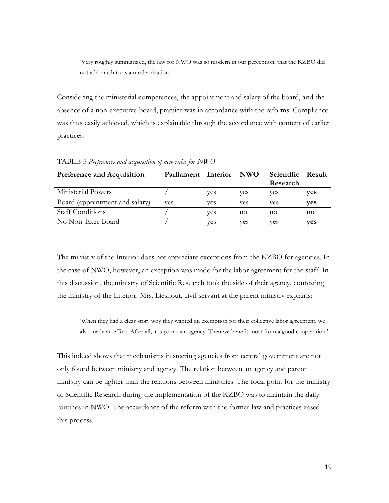‗Very roughly summarized, the law for NWO was so modern in our perception, that the KZBO did not add much to as a modernization.'

Considering the ministerial competences, the appointment and salary of the board, and the absence of a non-executive board, practice was in accordance with the reforms. Compliance was thus easily achieved, which is explainable through the accordance with content of earlier practices.

| <b>Preference and Acquisition</b> | Parliament | Interior | <b>NWO</b>      | Scientific   Result |                        |
|-----------------------------------|------------|----------|-----------------|---------------------|------------------------|
|                                   |            |          |                 | Research            |                        |
| Ministerial Powers                |            | ves      | ves             | ves                 | ves                    |
| Board (appointment and salary)    | ves        | ves      | ves             | <b>ves</b>          | ves                    |
| <b>Staff Conditions</b>           |            | ves      | $\overline{10}$ | no                  | $\mathbf{n}\mathbf{o}$ |
| No Non-Exec Board                 |            | ves      | ves             | ves                 | ves                    |

TABLE 5 *Preferences and acquisition of new rules for NWO*

The ministry of the Interior does not appreciate exceptions from the KZBO for agencies. In the case of NWO, however, an exception was made for the labor agreement for the staff. In this discussion, the ministry of Scientific Research took the side of their agency, contesting the ministry of the Interior. Mrs. Lieshout, civil servant at the parent ministry explains:

‗When they had a clear story why they wanted an exemption for their collective labor agreement, we also made an effort. After all, it is your own agency. Then we benefit most from a good cooperation.'

This indeed shows that mechanisms in steering agencies from central government are not only found between ministry and agency. The relation between an agency and parent ministry can be tighter than the relations between ministries. The focal point for the ministry of Scientific Research during the implementation of the KZBO was to maintain the daily routines in NWO. The accordance of the reform with the former law and practices eased this process.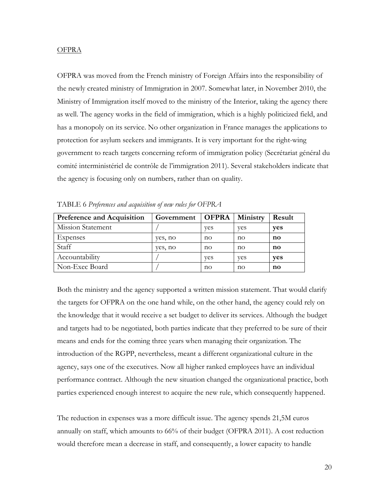### **OFPRA**

OFPRA was moved from the French ministry of Foreign Affairs into the responsibility of the newly created ministry of Immigration in 2007. Somewhat later, in November 2010, the Ministry of Immigration itself moved to the ministry of the Interior, taking the agency there as well. The agency works in the field of immigration, which is a highly politicized field, and has a monopoly on its service. No other organization in France manages the applications to protection for asylum seekers and immigrants. It is very important for the right-wing government to reach targets concerning reform of immigration policy (Secrétariat général du comité interministériel de contrôle de l'immigration 2011). Several stakeholders indicate that the agency is focusing only on numbers, rather than on quality.

| <b>Preference and Acquisition</b> | Government | OFPRA | Ministry | Result                 |
|-----------------------------------|------------|-------|----------|------------------------|
| Mission Statement                 |            | ves   | ves      | <b>ves</b>             |
| Expenses                          | yes, no    | no    | no       | $\mathbf{n}\mathbf{o}$ |
| Staff                             | yes, no    | no    | no       | $\mathbf{n}\mathbf{o}$ |
| Accountability                    |            | ves   | ves      | yes                    |
| Non-Exec Board                    |            | no    | no       | $\mathbf{n}\mathbf{o}$ |

TABLE 6 *Preferences and acquisition of new rules for OFPRA*

Both the ministry and the agency supported a written mission statement. That would clarify the targets for OFPRA on the one hand while, on the other hand, the agency could rely on the knowledge that it would receive a set budget to deliver its services. Although the budget and targets had to be negotiated, both parties indicate that they preferred to be sure of their means and ends for the coming three years when managing their organization. The introduction of the RGPP, nevertheless, meant a different organizational culture in the agency, says one of the executives. Now all higher ranked employees have an individual performance contract. Although the new situation changed the organizational practice, both parties experienced enough interest to acquire the new rule, which consequently happened.

The reduction in expenses was a more difficult issue. The agency spends 21,5M euros annually on staff, which amounts to 66% of their budget (OFPRA 2011). A cost reduction would therefore mean a decrease in staff, and consequently, a lower capacity to handle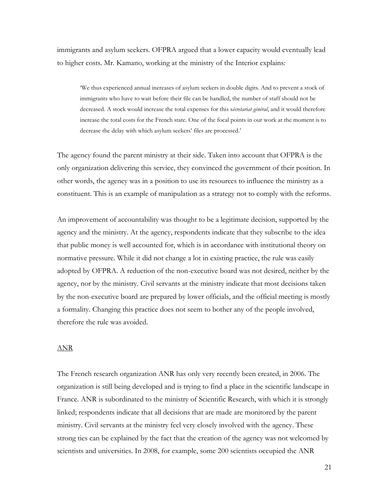immigrants and asylum seekers. OFPRA argued that a lower capacity would eventually lead to higher costs. Mr. Kamano, working at the ministry of the Interior explains:

‗We thus experienced annual increases of asylum seekers in double digits. And to prevent a stock of immigrants who have to wait before their file can be handled, the number of staff should not be decreased. A stock would increase the total expenses for this s*écretariat général*, and it would therefore increase the total costs for the French state. One of the focal points in our work at the moment is to decrease the delay with which asylum seekers' files are processed.'

The agency found the parent ministry at their side. Taken into account that OFPRA is the only organization delivering this service, they convinced the government of their position. In other words, the agency was in a position to use its resources to influence the ministry as a constituent. This is an example of manipulation as a strategy not to comply with the reforms.

An improvement of accountability was thought to be a legitimate decision, supported by the agency and the ministry. At the agency, respondents indicate that they subscribe to the idea that public money is well accounted for, which is in accordance with institutional theory on normative pressure. While it did not change a lot in existing practice, the rule was easily adopted by OFPRA. A reduction of the non-executive board was not desired, neither by the agency, nor by the ministry. Civil servants at the ministry indicate that most decisions taken by the non-executive board are prepared by lower officials, and the official meeting is mostly a formality. Changing this practice does not seem to bother any of the people involved, therefore the rule was avoided.

## ANR

The French research organization ANR has only very recently been created, in 2006. The organization is still being developed and is trying to find a place in the scientific landscape in France. ANR is subordinated to the ministry of Scientific Research, with which it is strongly linked; respondents indicate that all decisions that are made are monitored by the parent ministry. Civil servants at the ministry feel very closely involved with the agency. These strong ties can be explained by the fact that the creation of the agency was not welcomed by scientists and universities. In 2008, for example, some 200 scientists occupied the ANR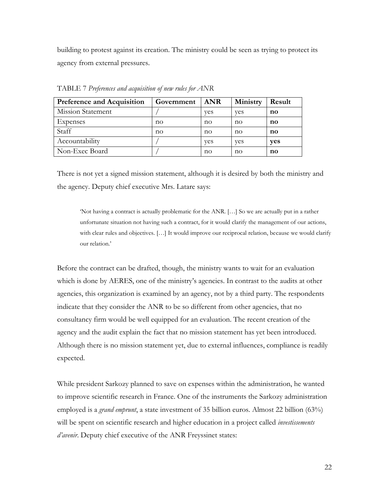building to protest against its creation. The ministry could be seen as trying to protect its agency from external pressures.

| <b>Preference and Acquisition</b> | Government | <b>ANR</b> | Ministry | Result                 |
|-----------------------------------|------------|------------|----------|------------------------|
| <b>Mission Statement</b>          |            | ves        | ves      | $\mathbf{n}\mathbf{o}$ |
| Expenses                          | no         | no         | no       | $\mathbf{n}\mathbf{o}$ |
| Staff                             | no         | no         | no       | $\mathbf{n}\mathbf{o}$ |
| Accountability                    |            | ves        | ves      | <b>ves</b>             |
| Non-Exec Board                    |            | no         | no       | $\mathbf{n}\mathbf{o}$ |

TABLE 7 *Preferences and acquisition of new rules for ANR*

There is not yet a signed mission statement, although it is desired by both the ministry and the agency. Deputy chief executive Mrs. Latare says:

‗Not having a contract is actually problematic for the ANR. […] So we are actually put in a rather unfortunate situation not having such a contract, for it would clarify the management of our actions, with clear rules and objectives. [...] It would improve our reciprocal relation, because we would clarify our relation.'

Before the contract can be drafted, though, the ministry wants to wait for an evaluation which is done by AERES, one of the ministry's agencies. In contrast to the audits at other agencies, this organization is examined by an agency, not by a third party. The respondents indicate that they consider the ANR to be so different from other agencies, that no consultancy firm would be well equipped for an evaluation. The recent creation of the agency and the audit explain the fact that no mission statement has yet been introduced. Although there is no mission statement yet, due to external influences, compliance is readily expected.

While president Sarkozy planned to save on expenses within the administration, he wanted to improve scientific research in France. One of the instruments the Sarkozy administration employed is a *grand emprunt*, a state investment of 35 billion euros. Almost 22 billion (63%) will be spent on scientific research and higher education in a project called *investissements d'avenir*. Deputy chief executive of the ANR Freyssinet states: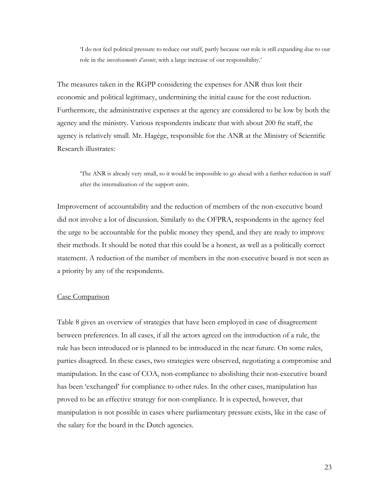‗I do not feel political pressure to reduce our staff, partly because our role is still expanding due to our role in the *investissements d'avenir*, with a large increase of our responsibility.'

The measures taken in the RGPP considering the expenses for ANR thus lost their economic and political legitimacy, undermining the initial cause for the cost reduction. Furthermore, the administrative expenses at the agency are considered to be low by both the agency and the ministry. Various respondents indicate that with about 200 fte staff, the agency is relatively small. Mr. Hagège, responsible for the ANR at the Ministry of Scientific Research illustrates:

‗The ANR is already very small, so it would be impossible to go ahead with a further reduction in staff after the internalization of the support units.

Improvement of accountability and the reduction of members of the non-executive board did not involve a lot of discussion. Similarly to the OFPRA, respondents in the agency feel the urge to be accountable for the public money they spend, and they are ready to improve their methods. It should be noted that this could be a honest, as well as a politically correct statement. A reduction of the number of members in the non-executive board is not seen as a priority by any of the respondents.

### Case Comparison

Table 8 gives an overview of strategies that have been employed in case of disagreement between preferences. In all cases, if all the actors agreed on the introduction of a rule, the rule has been introduced or is planned to be introduced in the near future. On some rules, parties disagreed. In these cases, two strategies were observed, negotiating a compromise and manipulation. In the case of COA, non-compliance to abolishing their non-executive board has been 'exchanged' for compliance to other rules. In the other cases, manipulation has proved to be an effective strategy for non-compliance. It is expected, however, that manipulation is not possible in cases where parliamentary pressure exists, like in the case of the salary for the board in the Dutch agencies.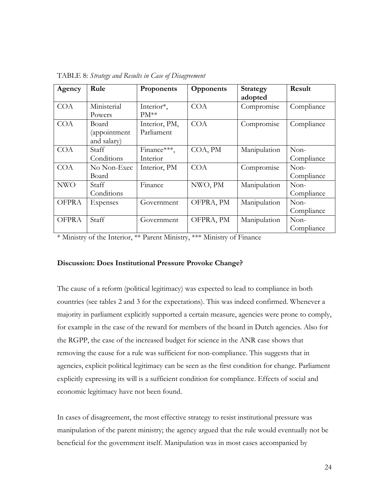| Agency       | Rule                                 | Proponents                  | Opponents  | <b>Strategy</b><br>adopted | Result               |
|--------------|--------------------------------------|-----------------------------|------------|----------------------------|----------------------|
| <b>COA</b>   | Ministerial<br>Powers                | Interior*,<br>$PM**$        | <b>COA</b> | Compromise                 | Compliance           |
| <b>COA</b>   | Board<br>(appointment<br>and salary) | Interior, PM,<br>Parliament | <b>COA</b> | Compromise                 | Compliance           |
| <b>COA</b>   | Staff<br>Conditions                  | Finance***,<br>Interior     | COA, PM    | Manipulation               | Non-<br>Compliance   |
| <b>COA</b>   | No Non-Exec<br>Board                 | Interior, PM                | <b>COA</b> | Compromise                 | $Non-$<br>Compliance |
| <b>NWO</b>   | Staff<br>Conditions                  | Finance                     | NWO, PM    | Manipulation               | $Non-$<br>Compliance |
| <b>OFPRA</b> | Expenses                             | Government                  | OFPRA, PM  | Manipulation               | $Non-$<br>Compliance |
| <b>OFPRA</b> | Staff                                | Government                  | OFPRA, PM  | Manipulation               | Non-<br>Compliance   |

TABLE 8: *Strategy and Results in Case of Disagreement*

\* Ministry of the Interior, \*\* Parent Ministry, \*\*\* Ministry of Finance

### **Discussion: Does Institutional Pressure Provoke Change?**

The cause of a reform (political legitimacy) was expected to lead to compliance in both countries (see tables 2 and 3 for the expectations). This was indeed confirmed. Whenever a majority in parliament explicitly supported a certain measure, agencies were prone to comply, for example in the case of the reward for members of the board in Dutch agencies. Also for the RGPP, the case of the increased budget for science in the ANR case shows that removing the cause for a rule was sufficient for non-compliance. This suggests that in agencies, explicit political legitimacy can be seen as the first condition for change. Parliament explicitly expressing its will is a sufficient condition for compliance. Effects of social and economic legitimacy have not been found.

In cases of disagreement, the most effective strategy to resist institutional pressure was manipulation of the parent ministry; the agency argued that the rule would eventually not be beneficial for the government itself. Manipulation was in most cases accompanied by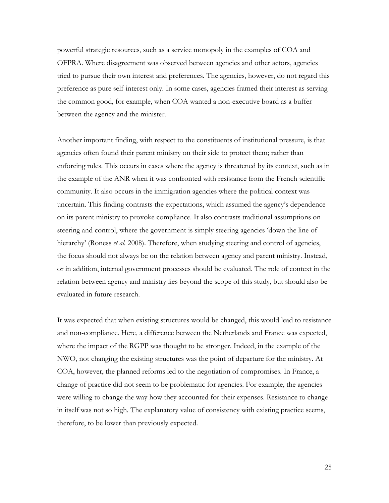powerful strategic resources, such as a service monopoly in the examples of COA and OFPRA. Where disagreement was observed between agencies and other actors, agencies tried to pursue their own interest and preferences. The agencies, however, do not regard this preference as pure self-interest only*.* In some cases, agencies framed their interest as serving the common good, for example, when COA wanted a non-executive board as a buffer between the agency and the minister.

Another important finding, with respect to the constituents of institutional pressure, is that agencies often found their parent ministry on their side to protect them; rather than enforcing rules. This occurs in cases where the agency is threatened by its context, such as in the example of the ANR when it was confronted with resistance from the French scientific community. It also occurs in the immigration agencies where the political context was uncertain. This finding contrasts the expectations, which assumed the agency's dependence on its parent ministry to provoke compliance. It also contrasts traditional assumptions on steering and control, where the government is simply steering agencies 'down the line of hierarchy' (Roness *et al.* 2008). Therefore, when studying steering and control of agencies, the focus should not always be on the relation between agency and parent ministry. Instead, or in addition, internal government processes should be evaluated. The role of context in the relation between agency and ministry lies beyond the scope of this study, but should also be evaluated in future research.

It was expected that when existing structures would be changed, this would lead to resistance and non-compliance. Here, a difference between the Netherlands and France was expected, where the impact of the RGPP was thought to be stronger. Indeed, in the example of the NWO, not changing the existing structures was the point of departure for the ministry. At COA, however, the planned reforms led to the negotiation of compromises. In France, a change of practice did not seem to be problematic for agencies. For example, the agencies were willing to change the way how they accounted for their expenses. Resistance to change in itself was not so high. The explanatory value of consistency with existing practice seems, therefore, to be lower than previously expected.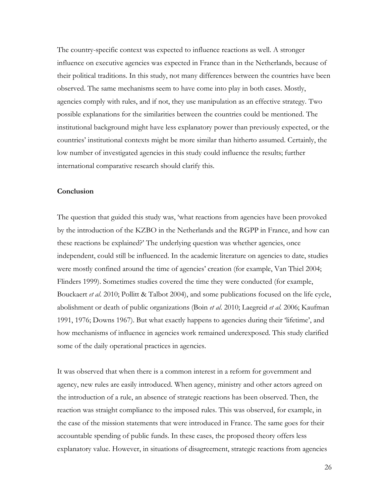The country-specific context was expected to influence reactions as well. A stronger influence on executive agencies was expected in France than in the Netherlands, because of their political traditions. In this study, not many differences between the countries have been observed. The same mechanisms seem to have come into play in both cases. Mostly, agencies comply with rules, and if not, they use manipulation as an effective strategy. Two possible explanations for the similarities between the countries could be mentioned. The institutional background might have less explanatory power than previously expected, or the countries' institutional contexts might be more similar than hitherto assumed. Certainly, the low number of investigated agencies in this study could influence the results; further international comparative research should clarify this.

#### **Conclusion**

The question that guided this study was, ‗what reactions from agencies have been provoked by the introduction of the KZBO in the Netherlands and the RGPP in France, and how can these reactions be explained?' The underlying question was whether agencies, once independent, could still be influenced. In the academic literature on agencies to date, studies were mostly confined around the time of agencies' creation (for example, Van Thiel 2004; Flinders 1999). Sometimes studies covered the time they were conducted (for example, Bouckaert *et al*. 2010; Pollitt & Talbot 2004), and some publications focused on the life cycle, abolishment or death of public organizations (Boin *et al*. 2010; Laegreid *et al.* 2006; Kaufman 1991, 1976; Downs 1967). But what exactly happens to agencies during their ‗lifetime', and how mechanisms of influence in agencies work remained underexposed. This study clarified some of the daily operational practices in agencies.

It was observed that when there is a common interest in a reform for government and agency, new rules are easily introduced. When agency, ministry and other actors agreed on the introduction of a rule, an absence of strategic reactions has been observed. Then, the reaction was straight compliance to the imposed rules. This was observed, for example, in the case of the mission statements that were introduced in France. The same goes for their accountable spending of public funds. In these cases, the proposed theory offers less explanatory value. However, in situations of disagreement, strategic reactions from agencies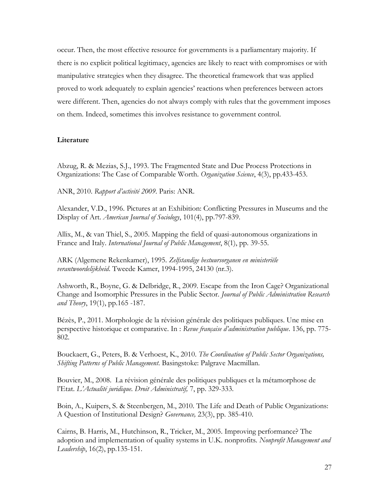occur. Then, the most effective resource for governments is a parliamentary majority. If there is no explicit political legitimacy, agencies are likely to react with compromises or with manipulative strategies when they disagree. The theoretical framework that was applied proved to work adequately to explain agencies' reactions when preferences between actors were different. Then, agencies do not always comply with rules that the government imposes on them. Indeed, sometimes this involves resistance to government control.

# **Literature**

Abzug, R. & Mezias, S.J., 1993. The Fragmented State and Due Process Protections in Organizations: The Case of Comparable Worth. *Organization Science*, 4(3), pp.433-453.

ANR, 2010. *Rapport d'activité 2009*. Paris: ANR.

Alexander, V.D., 1996. Pictures at an Exhibition: Conflicting Pressures in Museums and the Display of Art. *American Journal of Sociology*, 101(4), pp.797-839.

Allix, M., & van Thiel, S., 2005. Mapping the field of quasi-autonomous organizations in France and Italy. *International Journal of Public Management*, 8(1), pp. 39-55.

ARK (Algemene Rekenkamer), 1995. *Zelfstandige bestuursorganen en ministeriële verantwoordelijkheid*. Tweede Kamer, 1994-1995, 24130 (nr.3).

Ashworth, R., Boyne, G. & Delbridge, R., 2009. Escape from the Iron Cage? Organizational Change and Isomorphic Pressures in the Public Sector. *Journal of Public Administration Research and Theory*, 19(1), pp.165 -187.

Bézès, P., 2011. Morphologie de la révision générale des politiques publiques. Une mise en perspective historique et comparative. In : *Revue française d'administration publique*. 136, pp. 775- 802.

Bouckaert, G., Peters, B. & Verhoest, K., 2010. *The Coordination of Public Sector Organizations, Shifting Patterns of Public Management*. Basingstoke: Palgrave Macmillan.

Bouvier, M., 2008. La révision générale des politiques publiques et la métamorphose de l'Etat. *L'Actualité juridique. Droit Administratif,* 7, pp. 329-333.

Boin, A., Kuipers, S. & Steenbergen, M., 2010. The Life and Death of Public Organizations: A Question of Institutional Design? *Governance,* 23(3), pp. 385-410.

Cairns, B. Harris, M., Hutchinson, R., Tricker, M., 2005. Improving performance? The adoption and implementation of quality systems in U.K. nonprofits. *Nonprofit Management and Leadership*, 16(2), pp.135-151.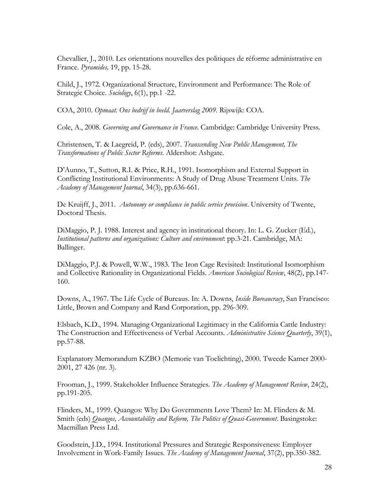Chevallier, J., 2010. Les orientations nouvelles des politiques de réforme administrative en France. *Pyramides,* 19, pp. 15-28.

Child, J., 1972. Organizational Structure, Environment and Performance: The Role of Strategic Choice. *Sociology*, 6(1), pp.1 -22.

COA, 2010. *Opmaat. Ons bedrijf in beeld*. *Jaarverslag 2009*. Rijswijk: COA.

Cole, A., 2008. *Governing and Governance in France*. Cambridge: Cambridge University Press.

Christensen, T. & Laegreid, P. (eds), 2007. *Transcending New Public Management, The Transformations of Public Sector Reforms*. Aldershot: Ashgate.

D'Aunno, T., Sutton, R.I. & Price, R.H., 1991. Isomorphism and External Support in Conflicting Institutional Environments: A Study of Drug Abuse Treatment Units. *The Academy of Management Journal*, 34(3), pp.636-661.

De Kruijff, J., 2011. *Autonomy or compliance in public service provision*. University of Twente, Doctoral Thesis.

DiMaggio, P. J. 1988. Interest and agency in institutional theory. In: L. G. Zucker (Ed.), *Institutional patterns and organizations: Culture and environment*: pp.3-21. Cambridge, MA: Ballinger.

DiMaggio, P.J. & Powell, W.W., 1983. The Iron Cage Revisited: Institutional Isomorphism and Collective Rationality in Organizational Fields. *American Sociological Review*, 48(2), pp.147- 160.

Downs, A., 1967. The Life Cycle of Bureaus. In: A. Downs, *Inside Bureaucracy*, San Francisco: Little, Brown and Company and Rand Corporation, pp. 296-309.

Elsbach, K.D., 1994. Managing Organizational Legitimacy in the California Cattle Industry: The Construction and Effectiveness of Verbal Accounts. *Administrative Science Quarterly*, 39(1), pp.57-88.

Explanatory Memorandum KZBO (Memorie van Toelichting), 2000. Tweede Kamer 2000- 2001, 27 426 (nr. 3).

Frooman, J., 1999. Stakeholder Influence Strategies. *The Academy of Management Review*, 24(2), pp.191-205.

Flinders, M., 1999. Quangos: Why Do Governments Love Them? In: M. Flinders & M. Smith (eds) *Quangos, Accountability and Reform, The Politics of Quasi-Government*. Basingstoke: Macmillan Press Ltd.

Goodstein, J.D., 1994. Institutional Pressures and Strategic Responsiveness: Employer Involvement in Work-Family Issues. *The Academy of Management Journal*, 37(2), pp.350-382.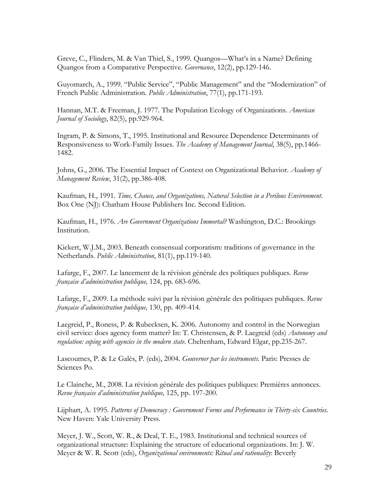Greve, C., Flinders, M. & Van Thiel, S., 1999. Quangos—What's in a Name? Defining Quangos from a Comparative Perspective. *Governance*, 12(2), pp.129-146.

Guyomarch, A., 1999. "Public Service", "Public Management" and the "Modernization" of French Public Administration. *Public Administration*, 77(1), pp.171-193.

Hannan, M.T. & Freeman, J. 1977. The Population Ecology of Organizations. *American Journal of Sociology*, 82(5), pp.929-964.

Ingram, P. & Simons, T., 1995. Institutional and Resource Dependence Determinants of Responsiveness to Work-Family Issues. *The Academy of Management Journal*, 38(5), pp.1466- 1482.

Johns, G., 2006. The Essential Impact of Context on Organizational Behavior. *Academy of Management Review*, 31(2), pp.386-408.

Kaufman, H., 1991. *Time, Chance, and Organizations, Natural Selection in a Perilous Environment*. Box One (NJ): Chatham House Publishers Inc. Second Edition.

Kaufman, H., 1976. *Are Government Organizations Immortal?* Washington, D.C.: Brookings Institution.

Kickert, W.J.M., 2003. Beneath consensual corporatism: traditions of governance in the Netherlands. *Public Administration*, 81(1), pp.119-140.

Lafarge, F., 2007. Le lancement de la révision générale des politiques publiques. *Revue française d'administration publique,* 124, pp. 683-696.

Lafarge, F., 2009. La méthode suivi par la révision générale des politiques publiques. *Revue française d'administration publique,* 130, pp. 409-414.

Laegreid, P., Roness, P. & Rubecksen, K. 2006. Autonomy and control in the Norwegian civil service: does agency form matter? In: T. Christensen, & P. Laegreid (eds) *Autonomy and regulation: coping with agencies in the modern state*. Cheltenham, Edward Elgar, pp.235-267.

Lascoumes, P. & Le Galès, P. (eds), 2004. *Gouverner par les instruments*. Paris: Presses de Sciences Po.

Le Clainche, M., 2008. La révision générale des politiques publiques: Premières annonces. *Revue française d'administration publique,* 125, pp. 197-200.

Lijphart, A. 1995. *Patterns of Democracy : Government Forms and Performance in Thirty-six Countries*. New Haven: Yale University Press.

Meyer, J. W., Scott, W. R., & Deal, T. E., 1983. Institutional and technical sources of organizational structure: Explaining the structure of educational organizations. In: J. W. Meyer & W. R. Scott (eds), *Organizational environments: Ritual and rationality*: Beverly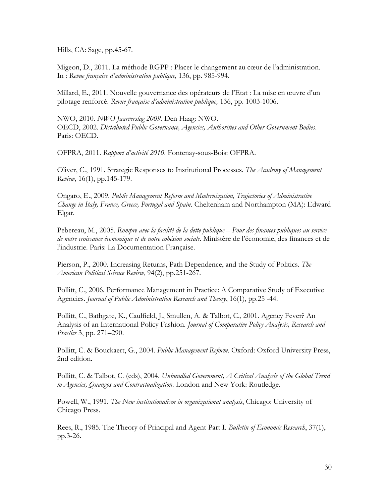Hills, CA: Sage, pp.45-67.

Migeon, D., 2011. La méthode RGPP : Placer le changement au cœur de l'administration. In : *Revue française d'administration publique,* 136, pp. 985-994.

Millard, E., 2011. Nouvelle gouvernance des opérateurs de l'Etat : La mise en œuvre d'un pilotage renforcé. *Revue française d'administration publique,* 136, pp. 1003-1006.

NWO, 2010. *NWO Jaarverslag 2009.* Den Haag: NWO. OECD, 2002. *Distributed Public Governance, Agencies, Authorities and Other Government Bodies*. Paris: OECD.

OFPRA, 2011. *Rapport d'activité 2010*. Fontenay-sous-Bois: OFPRA.

Oliver, C., 1991. Strategic Responses to Institutional Processes. *The Academy of Management Review*, 16(1), pp.145-179.

Ongaro, E., 2009. *Public Management Reform and Modernization, Trajectories of Administrative Change in Italy, France, Greece, Portugal and Spain*. Cheltenham and Northampton (MA): Edward Elgar.

Pebereau, M., 2005. *Rompre avec la facilité de la dette publique – Pour des finances publiques au service de notre croissance économique et de notre cohésion sociale*. Ministère de l'économie, des finances et de l'industrie. Paris: La Documentation Française.

Pierson, P., 2000. Increasing Returns, Path Dependence, and the Study of Politics. *The American Political Science Review*, 94(2), pp.251-267.

Pollitt, C., 2006. Performance Management in Practice: A Comparative Study of Executive Agencies. *Journal of Public Administration Research and Theory*, 16(1), pp.25 -44.

Pollitt, C., Bathgate, K., Caulfield, J., Smullen, A. & Talbot, C., 2001. Agency Fever? An Analysis of an International Policy Fashion. *Journal of Comparative Policy Analysis, Research and Practice* 3, pp. 271–290.

Pollitt, C. & Bouckaert, G., 2004. *Public Management Reform*. Oxford: Oxford University Press, 2nd edition.

Pollitt, C. & Talbot, C. (eds), 2004. *Unbundled Government, A Critical Analysis of the Global Trend to Agencies, Quangos and Contractualization*. London and New York: Routledge.

Powell, W., 1991. *The New institutionalism in organizational analysis*, Chicago: University of Chicago Press.

Rees, R., 1985. The Theory of Principal and Agent Part I. *Bulletin of Economic Research*, 37(1), pp.3-26.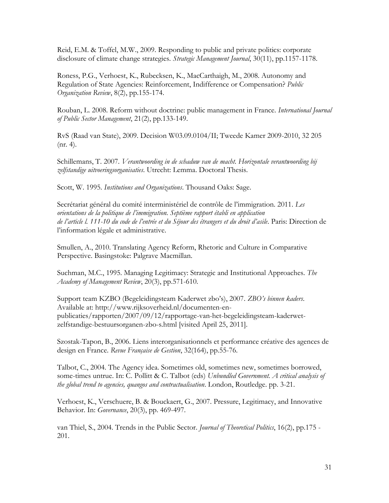Reid, E.M. & Toffel, M.W., 2009. Responding to public and private politics: corporate disclosure of climate change strategies. *Strategic Management Journal*, 30(11), pp.1157-1178.

Roness, P.G., Verhoest, K., Rubecksen, K., MacCarthaigh, M., 2008. Autonomy and Regulation of State Agencies: Reinforcement, Indifference or Compensation? *Public Organization Review*, 8(2), pp.155-174.

Rouban, L. 2008. Reform without doctrine: public management in France. *International Journal of Public Sector Management*, 21(2), pp.133-149.

RvS (Raad van State), 2009. Decision W03.09.0104/II; Tweede Kamer 2009-2010, 32 205 (nr. 4).

Schillemans, T. 2007. *Verantwoording in de schaduw van de macht. Horizontale verantwoording bij zelfstandige uitvoeringsorganisaties*. Utrecht: Lemma. Doctoral Thesis.

Scott, W. 1995. *Institutions and Organizations*. Thousand Oaks: Sage.

Secrétariat général du comité interministériel de contrôle de l'immigration. 2011. *Les orientations de la politique de l'immigration. Septième rapport établi en application de l'article l. 111-10 du code de l'entrée et du Séjour des étrangers et du droit d'asile*. Paris: Direction de l'information légale et administrative.

Smullen, A., 2010. Translating Agency Reform, Rhetoric and Culture in Comparative Perspective. Basingstoke: Palgrave Macmillan.

Suchman, M.C., 1995. Managing Legitimacy: Strategic and Institutional Approaches. *The Academy of Management Review*, 20(3), pp.571-610.

Support team KZBO (Begeleidingsteam Kaderwet zbo's), 2007. *ZBO's binnen kaders*. Available at: http://www.rijksoverheid.nl/documenten-enpublicaties/rapporten/2007/09/12/rapportage-van-het-begeleidingsteam-kaderwetzelfstandige-bestuursorganen-zbo-s.html [visited April 25, 2011].

Szostak-Tapon, B., 2006. Liens interorganisationnels et performance créative des agences de design en France. *Revue Française de Gestion*, 32(164), pp.55-76.

Talbot, C., 2004. The Agency idea. Sometimes old, sometimes new, sometimes borrowed, some-times untrue. In: C. Pollitt & C. Talbot (eds) *Unbundled Government. A critical analysis of the global trend to agencies, quangos and contractualisation*. London, Routledge. pp. 3-21.

Verhoest, K., Verschuere, B. & Bouckaert, G., 2007. Pressure, Legitimacy, and Innovative Behavior. In: *Governance*, 20(3), pp. 469-497.

van Thiel, S., 2004. Trends in the Public Sector. *Journal of Theoretical Politics*, 16(2), pp.175 - 201.